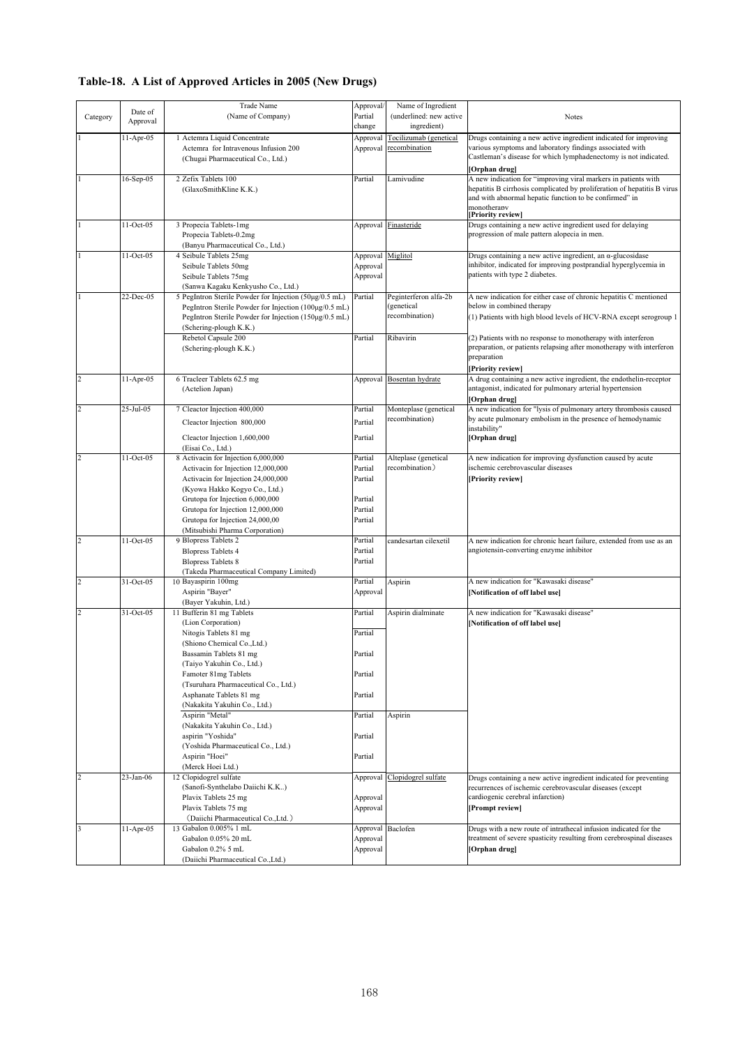## **Table-18. A List of Approved Articles in 2005 (New Drugs)**

|                |               | <b>Trade Name</b>                                      | Approval/ | Name of Ingredient        |                                                                         |
|----------------|---------------|--------------------------------------------------------|-----------|---------------------------|-------------------------------------------------------------------------|
| Category       | Date of       | (Name of Company)                                      | Partial   | (underlined: new active   | <b>Notes</b>                                                            |
|                | Approval      |                                                        | change    | ingredient)               |                                                                         |
|                |               |                                                        |           |                           |                                                                         |
|                | 11-Apr-05     | 1 Actemra Liquid Concentrate                           | Approval  | Tocilizumab (genetical    | Drugs containing a new active ingredient indicated for improving        |
|                |               | Actemra for Intravenous Infusion 200                   | Approval  | recombination             | various symptoms and laboratory findings associated with                |
|                |               | (Chugai Pharmaceutical Co., Ltd.)                      |           |                           | Castleman's disease for which lymphadenectomy is not indicated.         |
|                |               |                                                        |           |                           | [Orphan drug]                                                           |
|                | 16-Sep-05     | 2 Zefix Tablets 100                                    | Partial   | Lamivudine                | A new indication for "improving viral markers in patients with          |
|                |               | (GlaxoSmithKline K.K.)                                 |           |                           | hepatitis B cirrhosis complicated by proliferation of hepatitis B virus |
|                |               |                                                        |           |                           | and with abnormal hepatic function to be confirmed" in                  |
|                |               |                                                        |           |                           | monotherany                                                             |
|                |               |                                                        |           |                           | [Priority review]                                                       |
|                | 11-Oct-05     | 3 Propecia Tablets-1mg                                 | Approval  | Finasteride               | Drugs containing a new active ingredient used for delaying              |
|                |               | Propecia Tablets-0.2mg                                 |           |                           | progression of male pattern alopecia in men.                            |
|                |               | (Banyu Pharmaceutical Co., Ltd.)                       |           |                           |                                                                         |
|                | $11-Oct-05$   | 4 Seibule Tablets 25mg                                 | Approval  | Miglitol                  | Drugs containing a new active ingredient, an $\alpha$ -glucosidase      |
|                |               | Seibule Tablets 50mg                                   | Approval  |                           | inhibitor, indicated for improving postprandial hyperglycemia in        |
|                |               |                                                        |           |                           | patients with type 2 diabetes.                                          |
|                |               | Seibule Tablets 75mg                                   | Approval  |                           |                                                                         |
|                |               | (Sanwa Kagaku Kenkyusho Co., Ltd.)                     |           |                           |                                                                         |
|                | 22-Dec-05     | 5 PegIntron Sterile Powder for Injection (50μg/0.5 mL) | Partial   | Peginterferon alfa-2b     | A new indication for either case of chronic hepatitis C mentioned       |
|                |               | PegIntron Sterile Powder for Injection (100µg/0.5 mL)  |           | (genetical                | below in combined therapy                                               |
|                |               | PegIntron Sterile Powder for Injection (150µg/0.5 mL)  |           | recombination)            | (1) Patients with high blood levels of HCV-RNA except serogroup 1       |
|                |               | (Schering-plough K.K.)                                 |           |                           |                                                                         |
|                |               | Rebetol Capsule 200                                    | Partial   | Ribavirin                 | (2) Patients with no response to monotherapy with interferon            |
|                |               | (Schering-plough K.K.)                                 |           |                           | preparation, or patients relapsing after monotherapy with interferon    |
|                |               |                                                        |           |                           | preparation                                                             |
|                |               |                                                        |           |                           |                                                                         |
|                |               |                                                        |           |                           | [Priority review]                                                       |
| $\overline{c}$ | $11-Apr-05$   | 6 Tracleer Tablets 62.5 mg                             |           | Approval Bosentan hydrate | A drug containing a new active ingredient, the endothelin-receptor      |
|                |               | (Actelion Japan)                                       |           |                           | antagonist, indicated for pulmonary arterial hypertension               |
|                |               |                                                        |           |                           | [Orphan drug]                                                           |
| $\overline{c}$ | 25-Jul-05     | 7 Cleactor Injection 400,000                           | Partial   | Monteplase (genetical     | A new indication for "lysis of pulmonary artery thrombosis caused       |
|                |               | Cleactor Injection 800,000                             | Partial   | recombination)            | by acute pulmonary embolism in the presence of hemodynamic              |
|                |               |                                                        |           |                           | instability"                                                            |
|                |               | Cleactor Injection 1,600,000                           | Partial   |                           | [Orphan drug]                                                           |
|                |               | (Eisai Co., Ltd.)                                      |           |                           |                                                                         |
| $\overline{c}$ | 11-Oct-05     | 8 Activacin for Injection 6,000,000                    | Partial   | Alteplase (genetical      | A new indication for improving dysfunction caused by acute              |
|                |               | Activacin for Injection 12,000,000                     | Partial   | recombination)            | ischemic cerebrovascular diseases                                       |
|                |               | Activacin for Injection 24,000,000                     | Partial   |                           | [Priority review]                                                       |
|                |               |                                                        |           |                           |                                                                         |
|                |               | (Kyowa Hakko Kogyo Co., Ltd.)                          |           |                           |                                                                         |
|                |               | Grutopa for Injection 6,000,000                        | Partial   |                           |                                                                         |
|                |               | Grutopa for Injection 12,000,000                       | Partial   |                           |                                                                         |
|                |               | Grutopa for Injection 24,000,00                        | Partial   |                           |                                                                         |
|                |               | (Mitsubishi Pharma Corporation)                        |           |                           |                                                                         |
| $\overline{c}$ | 11-Oct-05     | 9 Blopress Tablets 2                                   | Partial   | candesartan cilexetil     | A new indication for chronic heart failure, extended from use as an     |
|                |               | <b>Blopress Tablets 4</b>                              | Partial   |                           | angiotensin-converting enzyme inhibitor                                 |
|                |               | <b>Blopress Tablets 8</b>                              | Partial   |                           |                                                                         |
|                |               | (Takeda Pharmaceutical Company Limited)                |           |                           |                                                                         |
| $\overline{c}$ | 31-Oct-05     |                                                        | Partial   |                           | A new indication for "Kawasaki disease"                                 |
|                |               | 10 Bayaspirin 100mg                                    |           | Aspirin                   |                                                                         |
|                |               | Aspirin "Bayer"                                        | Approval  |                           | [Notification of off label use]                                         |
|                |               | (Bayer Yakuhin, Ltd.)                                  |           |                           |                                                                         |
| $\overline{c}$ | 31-Oct-05     | 11 Bufferin 81 mg Tablets                              | Partial   | Aspirin dialminate        | A new indication for "Kawasaki disease"                                 |
|                |               | (Lion Corporation)                                     |           |                           | [Notification of off label use]                                         |
|                |               | Nitogis Tablets 81 mg                                  | Partial   |                           |                                                                         |
|                |               | (Shiono Chemical Co., Ltd.)                            |           |                           |                                                                         |
|                |               | Bassamin Tablets 81 mg                                 | Partial   |                           |                                                                         |
|                |               | (Taiyo Yakuhin Co., Ltd.)                              |           |                           |                                                                         |
|                |               |                                                        |           |                           |                                                                         |
|                |               | Famoter 81mg Tablets                                   | Partial   |                           |                                                                         |
|                |               | (Tsuruhara Pharmaceutical Co., Ltd.)                   |           |                           |                                                                         |
|                |               | Asphanate Tablets 81 mg                                | Partial   |                           |                                                                         |
|                |               | (Nakakita Yakuhin Co., Ltd.)                           |           |                           |                                                                         |
|                |               | Aspirin "Metal"                                        | Partial   | Aspirin                   |                                                                         |
|                |               | (Nakakita Yakuhin Co., Ltd.)                           |           |                           |                                                                         |
|                |               | aspirin "Yoshida"                                      | Partial   |                           |                                                                         |
|                |               | (Yoshida Pharmaceutical Co., Ltd.)                     |           |                           |                                                                         |
|                |               | Aspirin "Hoei"                                         | Partial   |                           |                                                                         |
|                |               |                                                        |           |                           |                                                                         |
|                |               | (Merck Hoei Ltd.)                                      |           |                           |                                                                         |
| $\overline{c}$ | $23 - Jan-06$ | 12 Clopidogrel sulfate                                 | Approval  | Clopidogrel sulfate       | Drugs containing a new active ingredient indicated for preventing       |
|                |               | (Sanofi-Synthelabo Daiichi K.K)                        |           |                           | recurrences of ischemic cerebrovascular diseases (except                |
|                |               | Plavix Tablets 25 mg                                   | Approval  |                           | cardiogenic cerebral infarction)                                        |
|                |               | Plavix Tablets 75 mg                                   | Approval  |                           | [Prompt review]                                                         |
|                |               | (Daiichi Pharmaceutical Co., Ltd.)                     |           |                           |                                                                         |
| 3              | $11-Apr-05$   | 13 Gabalon 0.005% 1 mL                                 |           | Approval Baclofen         | Drugs with a new route of intrathecal infusion indicated for the        |
|                |               | Gabalon 0.05% 20 mL                                    | Approval  |                           | treatment of severe spasticity resulting from cerebrospinal diseases    |
|                |               | Gabalon 0.2% 5 mL                                      |           |                           |                                                                         |
|                |               |                                                        | Approval  |                           | [Orphan drug]                                                           |
|                |               | (Daiichi Pharmaceutical Co., Ltd.)                     |           |                           |                                                                         |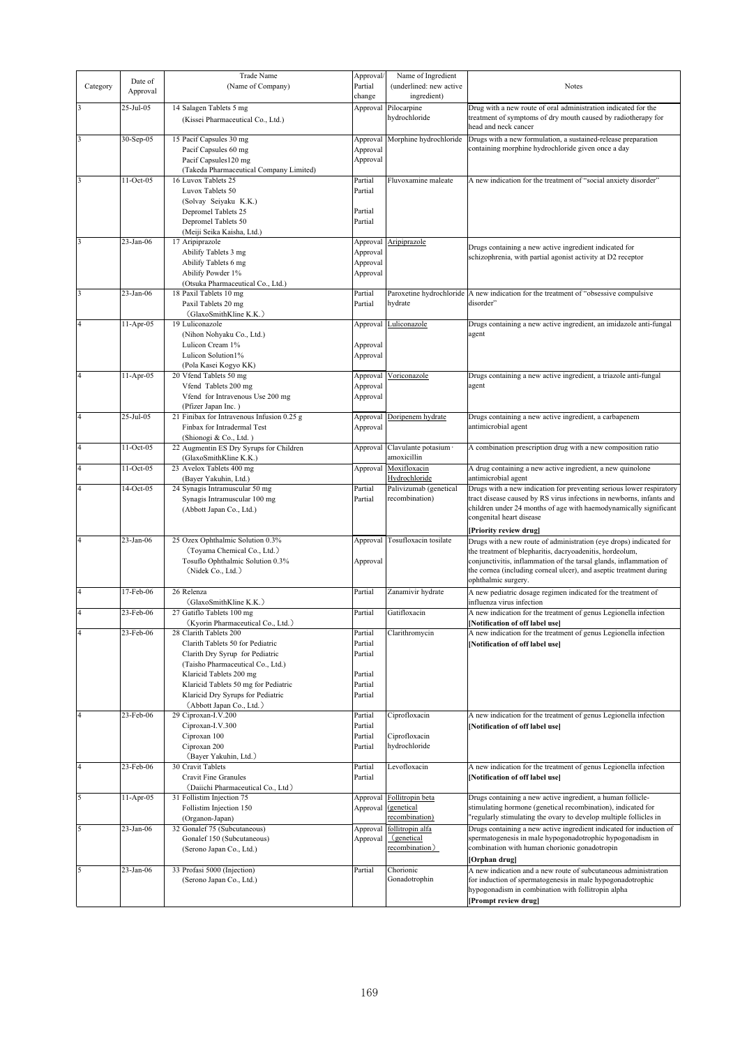|                         |           | Trade Name                                 | Approval/ | Name of Ingredient       |                                                                      |
|-------------------------|-----------|--------------------------------------------|-----------|--------------------------|----------------------------------------------------------------------|
|                         | Date of   |                                            | Partial   | (underlined: new active  | Notes                                                                |
| Category                | Approval  | (Name of Company)                          |           |                          |                                                                      |
|                         |           |                                            | change    | ingredient)              |                                                                      |
|                         | 25-Jul-05 | 14 Salagen Tablets 5 mg                    | Approval  | Pilocarpine              | Drug with a new route of oral administration indicated for the       |
|                         |           | (Kissei Pharmaceutical Co., Ltd.)          |           | hydrochloride            | treatment of symptoms of dry mouth caused by radiotherapy for        |
|                         |           |                                            |           |                          | head and neck cancer                                                 |
| 3                       | 30-Sep-05 | 15 Pacif Capsules 30 mg                    | Approval  | Morphine hydrochloride   | Drugs with a new formulation, a sustained-release preparation        |
|                         |           | Pacif Capsules 60 mg                       | Approval  |                          | containing morphine hydrochloride given once a day                   |
|                         |           | Pacif Capsules120 mg                       | Approval  |                          |                                                                      |
|                         |           |                                            |           |                          |                                                                      |
|                         |           | (Takeda Pharmaceutical Company Limited)    |           |                          |                                                                      |
| 3                       | 11-Oct-05 | 16 Luvox Tablets 25                        | Partial   | Fluvoxamine maleate      | A new indication for the treatment of "social anxiety disorder"      |
|                         |           | Luvox Tablets 50                           | Partial   |                          |                                                                      |
|                         |           | (Solvay Seiyaku K.K.)                      |           |                          |                                                                      |
|                         |           | Depromel Tablets 25                        | Partial   |                          |                                                                      |
|                         |           | Depromel Tablets 50                        | Partial   |                          |                                                                      |
|                         |           | (Meiji Seika Kaisha, Ltd.)                 |           |                          |                                                                      |
| 3                       | 23-Jan-06 | 17 Aripiprazole                            | Approval  | Aripiprazole             |                                                                      |
|                         |           | Abilify Tablets 3 mg                       | Approval  |                          | Drugs containing a new active ingredient indicated for               |
|                         |           | Abilify Tablets 6 mg                       | Approval  |                          | schizophrenia, with partial agonist activity at D2 receptor          |
|                         |           | Abilify Powder 1%                          |           |                          |                                                                      |
|                         |           |                                            | Approval  |                          |                                                                      |
|                         |           | (Otsuka Pharmaceutical Co., Ltd.)          |           |                          |                                                                      |
| 3                       | 23-Jan-06 | 18 Paxil Tablets 10 mg                     | Partial   | Paroxetine hydrochloride | A new indication for the treatment of "obsessive compulsive          |
|                         |           | Paxil Tablets 20 mg                        | Partial   | hydrate                  | disorder"                                                            |
|                         |           | (GlaxoSmithKline K.K.)                     |           |                          |                                                                      |
| $\overline{\mathbf{4}}$ | 11-Apr-05 | 19 Luliconazole                            | Approval  | Luliconazole             | Drugs containing a new active ingredient, an imidazole anti-fungal   |
|                         |           | (Nihon Nohyaku Co., Ltd.)                  |           |                          | agent                                                                |
|                         |           | Lulicon Cream 1%                           | Approval  |                          |                                                                      |
|                         |           | Lulicon Solution1%                         | Approval  |                          |                                                                      |
|                         |           | (Pola Kasei Kogyo KK)                      |           |                          |                                                                      |
| $\overline{4}$          | 11-Apr-05 | 20 Vfend Tablets 50 mg                     | Approval  | Voriconazole             | Drugs containing a new active ingredient, a triazole anti-fungal     |
|                         |           |                                            |           |                          |                                                                      |
|                         |           | Vfend Tablets 200 mg                       | Approval  |                          | agent                                                                |
|                         |           | Vfend for Intravenous Use 200 mg           | Approval  |                          |                                                                      |
|                         |           | (Pfizer Japan Inc.)                        |           |                          |                                                                      |
| 4                       | 25-Jul-05 | 21 Finibax for Intravenous Infusion 0.25 g | Approval  | Doripenem hydrate        | Drugs containing a new active ingredient, a carbapenem               |
|                         |           | Finbax for Intradermal Test                | Approval  |                          | antimicrobial agent                                                  |
|                         |           | (Shionogi & Co., Ltd.)                     |           |                          |                                                                      |
|                         | 11-Oct-05 | 22 Augmentin ES Dry Syrups for Children    | Approval  | Clavulante potasium ·    | A combination prescription drug with a new composition ratio         |
|                         |           | (GlaxoSmithKline K.K.)                     |           | amoxicillin              |                                                                      |
|                         | 11-Oct-05 | 23 Avelox Tablets 400 mg                   | Approval  | Moxifloxacin             | A drug containing a new active ingredient, a new quinolone           |
|                         |           | (Bayer Yakuhin, Ltd.)                      |           | Hydrochloride            | antimicrobial agent                                                  |
|                         | 14-Oct-05 |                                            | Partial   |                          |                                                                      |
|                         |           | 24 Synagis Intramuscular 50 mg             |           | Palivizumab (genetical   | Drugs with a new indication for preventing serious lower respiratory |
|                         |           | Synagis Intramuscular 100 mg               | Partial   | recombination)           | tract disease caused by RS virus infections in newborns, infants and |
|                         |           | (Abbott Japan Co., Ltd.)                   |           |                          | children under 24 months of age with haemodynamically significant    |
|                         |           |                                            |           |                          | congenital heart disease                                             |
|                         |           |                                            |           |                          | [Priority review drug]                                               |
| $\overline{4}$          | 23-Jan-06 | 25 Ozex Ophthalmic Solution 0.3%           | Approval  | Tosufloxacin tosilate    | Drugs with a new route of administration (eye drops) indicated for   |
|                         |           | (Toyama Chemical Co., Ltd.)                |           |                          | the treatment of blepharitis, dacryoadenitis, hordeolum,             |
|                         |           | Tosuflo Ophthalmic Solution 0.3%           | Approval  |                          | conjunctivitis, inflammation of the tarsal glands, inflammation of   |
|                         |           | (Nidek Co., Ltd.)                          |           |                          | the cornea (including corneal ulcer), and aseptic treatment during   |
|                         |           |                                            |           |                          | ophthalmic surgery.                                                  |
| $\overline{4}$          | 17-Feb-06 | 26 Relenza                                 | Partial   | Zanamivir hydrate        | A new pediatric dosage regimen indicated for the treatment of        |
|                         |           | (GlaxoSmithKline K.K.)                     |           |                          | influenza virus infection                                            |
| 4                       | 23-Feb-06 | 27 Gatiflo Tablets 100 mg                  | Partial   | Gatifloxacin             |                                                                      |
|                         |           |                                            |           |                          | A new indication for the treatment of genus Legionella infection     |
|                         |           | (Kyorin Pharmaceutical Co., Ltd.)          |           |                          | [Notification of off label use]                                      |
| $\overline{4}$          | 23-Feb-06 | 28 Clarith Tablets 200                     | Partial   | Clarithromycin           | A new indication for the treatment of genus Legionella infection     |
|                         |           | Clarith Tablets 50 for Pediatric           | Partial   |                          | [Notification of off label use]                                      |
|                         |           | Clarith Dry Syrup for Pediatric            | Partial   |                          |                                                                      |
|                         |           | (Taisho Pharmaceutical Co., Ltd.)          |           |                          |                                                                      |
|                         |           | Klaricid Tablets 200 mg                    | Partial   |                          |                                                                      |
|                         |           | Klaricid Tablets 50 mg for Pediatric       | Partial   |                          |                                                                      |
|                         |           | Klaricid Dry Syrups for Pediatric          | Partial   |                          |                                                                      |
|                         |           | (Abbott Japan Co., Ltd.)                   |           |                          |                                                                      |
| 4                       | 23-Feb-06 | 29 Ciproxan-I.V.200                        | Partial   | Ciprofloxacin            | A new indication for the treatment of genus Legionella infection     |
|                         |           | Ciproxan-I.V.300                           | Partial   |                          |                                                                      |
|                         |           |                                            |           |                          | [Notification of off label use]                                      |
|                         |           | Ciproxan 100                               | Partial   | Ciprofloxacin            |                                                                      |
|                         |           | Ciproxan 200                               | Partial   | hydrochloride            |                                                                      |
|                         |           | (Bayer Yakuhin, Ltd.)                      |           |                          |                                                                      |
| 4                       | 23-Feb-06 | 30 Cravit Tablets                          | Partial   | Levofloxacin             | A new indication for the treatment of genus Legionella infection     |
|                         |           | <b>Cravit Fine Granules</b>                | Partial   |                          | [Notification of off label use]                                      |
|                         |           | (Daiichi Pharmaceutical Co., Ltd)          |           |                          |                                                                      |
| 5                       | 11-Apr-05 | 31 Follistim Injection 75                  | Approval  | Follitropin beta         | Drugs containing a new active ingredient, a human follicle-          |
|                         |           | Follistim Injection 150                    | Approval  | (genetical               | stimulating hormone (genetical recombination), indicated for         |
|                         |           | (Organon-Japan)                            |           | recombination)           | 'regularly stimulating the ovary to develop multiple follicles in    |
| 5                       | 23-Jan-06 | 32 Gonalef 75 (Subcutaneous)               | Approval  | follitropin alfa         | Drugs containing a new active ingredient indicated for induction of  |
|                         |           |                                            |           | (genetical               | spermatogenesis in male hypogonadotrophic hypogonadism in            |
|                         |           | Gonalef 150 (Subcutaneous)                 | Approval  | recombination)           | combination with human chorionic gonadotropin                        |
|                         |           | (Serono Japan Co., Ltd.)                   |           |                          |                                                                      |
|                         |           |                                            |           |                          | Orphan drug]                                                         |
| 5                       | 23-Jan-06 | 33 Profasi 5000 (Injection)                | Partial   | Chorionic                | A new indication and a new route of subcutaneous administration      |
|                         |           | (Serono Japan Co., Ltd.)                   |           | Gonadotrophin            | for induction of spermatogenesis in male hypogonadotrophic           |
|                         |           |                                            |           |                          | hypogonadism in combination with follitropin alpha                   |
|                         |           |                                            |           |                          | [Prompt review drug]                                                 |
|                         |           |                                            |           |                          |                                                                      |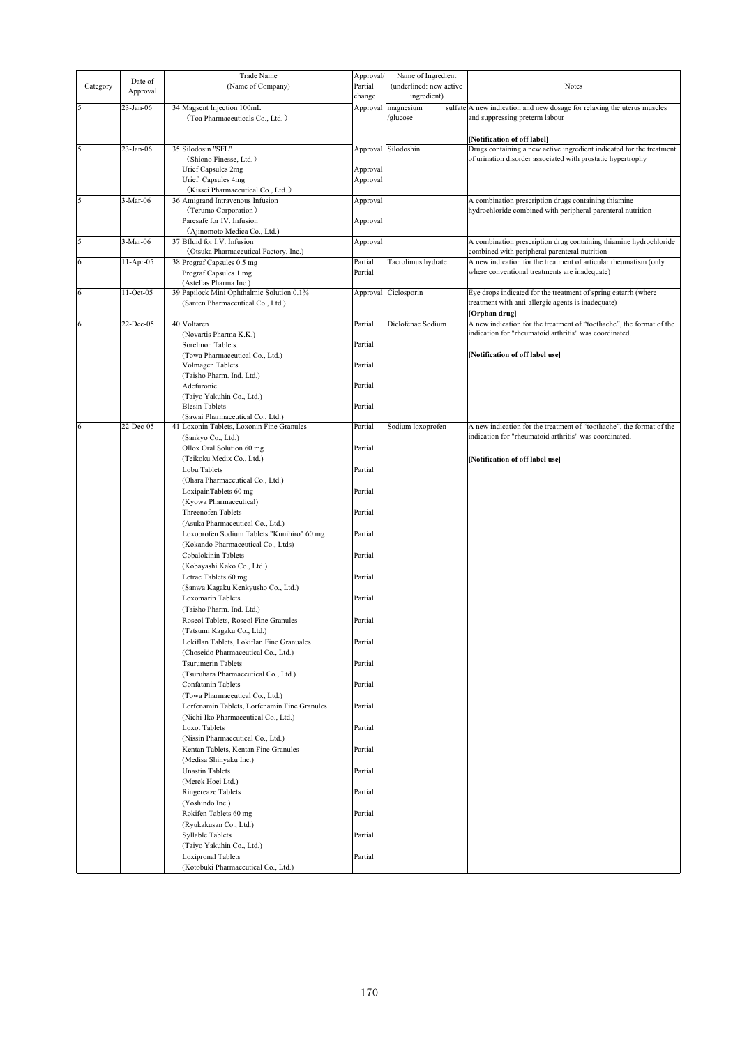|          |              | Trade Name                                   | Approval/ | Name of Ingredient      |                                                                         |
|----------|--------------|----------------------------------------------|-----------|-------------------------|-------------------------------------------------------------------------|
| Category | Date of      | (Name of Company)                            | Partial   | (underlined: new active | <b>Notes</b>                                                            |
|          | Approval     |                                              |           |                         |                                                                         |
|          |              |                                              | change    | ingredient)             |                                                                         |
|          | 23-Jan-06    | 34 Magsent Injection 100mL                   | Approval  | magnesium               | sulfate A new indication and new dosage for relaxing the uterus muscles |
|          |              | (Toa Pharmaceuticals Co., Ltd.)              |           | glucose                 | and suppressing preterm labour                                          |
|          |              |                                              |           |                         |                                                                         |
|          |              |                                              |           |                         | [Notification of off label]                                             |
| 5        | $23$ -Jan-06 | 35 Silodosin "SFL"                           |           |                         | Drugs containing a new active ingredient indicated for the treatment    |
|          |              |                                              | Approval  | Silodoshin              |                                                                         |
|          |              | (Shiono Finesse, Ltd.)                       |           |                         | of urination disorder associated with prostatic hypertrophy             |
|          |              | Urief Capsules 2mg                           | Approval  |                         |                                                                         |
|          |              | Urief Capsules 4mg                           | Approval  |                         |                                                                         |
|          |              | (Kissei Pharmaceutical Co., Ltd.)            |           |                         |                                                                         |
| 5        | 3-Mar-06     | 36 Amigrand Intravenous Infusion             | Approval  |                         | A combination prescription drugs containing thiamine                    |
|          |              | (Terumo Corporation)                         |           |                         | hydrochloride combined with peripheral parenteral nutrition             |
|          |              | Paresafe for IV. Infusion                    |           |                         |                                                                         |
|          |              |                                              | Approval  |                         |                                                                         |
|          |              | (Ajinomoto Medica Co., Ltd.)                 |           |                         |                                                                         |
| 5        | 3-Mar-06     | 37 Bfluid for I.V. Infusion                  | Approval  |                         | A combination prescription drug containing thiamine hydrochloride       |
|          |              | (Otsuka Pharmaceutical Factory, Inc.)        |           |                         | combined with peripheral parenteral nutrition                           |
| 6        | 11-Apr-05    | 38 Prograf Capsules 0.5 mg                   | Partial   | Tacrolimus hydrate      | A new indication for the treatment of articular rheumatism (only        |
|          |              | Prograf Capsules 1 mg                        | Partial   |                         | where conventional treatments are inadequate)                           |
|          |              | (Astellas Pharma Inc.)                       |           |                         |                                                                         |
|          | 11-Oct-05    |                                              |           |                         |                                                                         |
| 6        |              | 39 Papilock Mini Ophthalmic Solution 0.1%    |           | Approval Ciclosporin    | Eye drops indicated for the treatment of spring catarrh (where          |
|          |              | (Santen Pharmaceutical Co., Ltd.)            |           |                         | treatment with anti-allergic agents is inadequate)                      |
|          |              |                                              |           |                         | [Orphan drug]                                                           |
| 6        | 22-Dec-05    | 40 Voltaren                                  | Partial   | Diclofenac Sodium       | A new indication for the treatment of "toothache", the format of the    |
|          |              | (Novartis Pharma K.K.)                       |           |                         | indication for "rheumatoid arthritis" was coordinated.                  |
|          |              | Sorelmon Tablets.                            | Partial   |                         |                                                                         |
|          |              | (Towa Pharmaceutical Co., Ltd.)              |           |                         | [Notification of off label use]                                         |
|          |              |                                              |           |                         |                                                                         |
|          |              | Volmagen Tablets                             | Partial   |                         |                                                                         |
|          |              | (Taisho Pharm. Ind. Ltd.)                    |           |                         |                                                                         |
|          |              | Adefuronic                                   | Partial   |                         |                                                                         |
|          |              | (Taiyo Yakuhin Co., Ltd.)                    |           |                         |                                                                         |
|          |              | <b>Blesin Tablets</b>                        | Partial   |                         |                                                                         |
|          |              | (Sawai Pharmaceutical Co., Ltd.)             |           |                         |                                                                         |
|          | 22-Dec-05    | 41 Loxonin Tablets, Loxonin Fine Granules    | Partial   |                         | A new indication for the treatment of "toothache", the format of the    |
| 6        |              |                                              |           | Sodium loxoprofen       | indication for "rheumatoid arthritis" was coordinated.                  |
|          |              | (Sankyo Co., Ltd.)                           |           |                         |                                                                         |
|          |              | Ollox Oral Solution 60 mg                    | Partial   |                         |                                                                         |
|          |              | (Teikoku Medix Co., Ltd.)                    |           |                         | [Notification of off label use]                                         |
|          |              | Lobu Tablets                                 | Partial   |                         |                                                                         |
|          |              | (Ohara Pharmaceutical Co., Ltd.)             |           |                         |                                                                         |
|          |              |                                              |           |                         |                                                                         |
|          |              | LoxipainTablets 60 mg                        | Partial   |                         |                                                                         |
|          |              | (Kyowa Pharmaceutical)                       |           |                         |                                                                         |
|          |              | Threenofen Tablets                           | Partial   |                         |                                                                         |
|          |              | (Asuka Pharmaceutical Co., Ltd.)             |           |                         |                                                                         |
|          |              | Loxoprofen Sodium Tablets "Kunihiro" 60 mg   | Partial   |                         |                                                                         |
|          |              |                                              |           |                         |                                                                         |
|          |              | (Kokando Pharmaceutical Co., Ltds)           |           |                         |                                                                         |
|          |              | Cobalokinin Tablets                          | Partial   |                         |                                                                         |
|          |              | (Kobayashi Kako Co., Ltd.)                   |           |                         |                                                                         |
|          |              | Letrac Tablets 60 mg                         | Partial   |                         |                                                                         |
|          |              | (Sanwa Kagaku Kenkyusho Co., Ltd.)           |           |                         |                                                                         |
|          |              | Loxomarin Tablets                            | Partial   |                         |                                                                         |
|          |              |                                              |           |                         |                                                                         |
|          |              | (Taisho Pharm. Ind. Ltd.)                    |           |                         |                                                                         |
|          |              | Roseol Tablets, Roseol Fine Granules         | Partial   |                         |                                                                         |
|          |              | (Tatsumi Kagaku Co., Ltd.)                   |           |                         |                                                                         |
|          |              | Lokiflan Tablets, Lokiflan Fine Granuales    | Partial   |                         |                                                                         |
|          |              | (Choseido Pharmaceutical Co., Ltd.)          |           |                         |                                                                         |
|          |              |                                              |           |                         |                                                                         |
|          |              | <b>Tsurumerin Tablets</b>                    | Partial   |                         |                                                                         |
|          |              | (Tsuruhara Pharmaceutical Co., Ltd.)         |           |                         |                                                                         |
|          |              | Confatanin Tablets                           | Partial   |                         |                                                                         |
|          |              | (Towa Pharmaceutical Co., Ltd.)              |           |                         |                                                                         |
|          |              | Lorfenamin Tablets, Lorfenamin Fine Granules | Partial   |                         |                                                                         |
|          |              | (Nichi-Iko Pharmaceutical Co., Ltd.)         |           |                         |                                                                         |
|          |              |                                              |           |                         |                                                                         |
|          |              | Loxot Tablets                                | Partial   |                         |                                                                         |
|          |              | (Nissin Pharmaceutical Co., Ltd.)            |           |                         |                                                                         |
|          |              | Kentan Tablets, Kentan Fine Granules         | Partial   |                         |                                                                         |
|          |              | (Medisa Shinyaku Inc.)                       |           |                         |                                                                         |
|          |              | <b>Unastin Tablets</b>                       | Partial   |                         |                                                                         |
|          |              |                                              |           |                         |                                                                         |
|          |              | (Merck Hoei Ltd.)                            |           |                         |                                                                         |
|          |              | Ringereaze Tablets                           | Partial   |                         |                                                                         |
|          |              | (Yoshindo Inc.)                              |           |                         |                                                                         |
|          |              | Rokifen Tablets 60 mg                        | Partial   |                         |                                                                         |
|          |              | (Ryukakusan Co., Ltd.)                       |           |                         |                                                                         |
|          |              |                                              |           |                         |                                                                         |
|          |              | <b>Syllable Tablets</b>                      | Partial   |                         |                                                                         |
|          |              | (Taiyo Yakuhin Co., Ltd.)                    |           |                         |                                                                         |
|          |              | Loxipronal Tablets                           | Partial   |                         |                                                                         |
|          |              | (Kotobuki Pharmaceutical Co., Ltd.)          |           |                         |                                                                         |
|          |              |                                              |           |                         |                                                                         |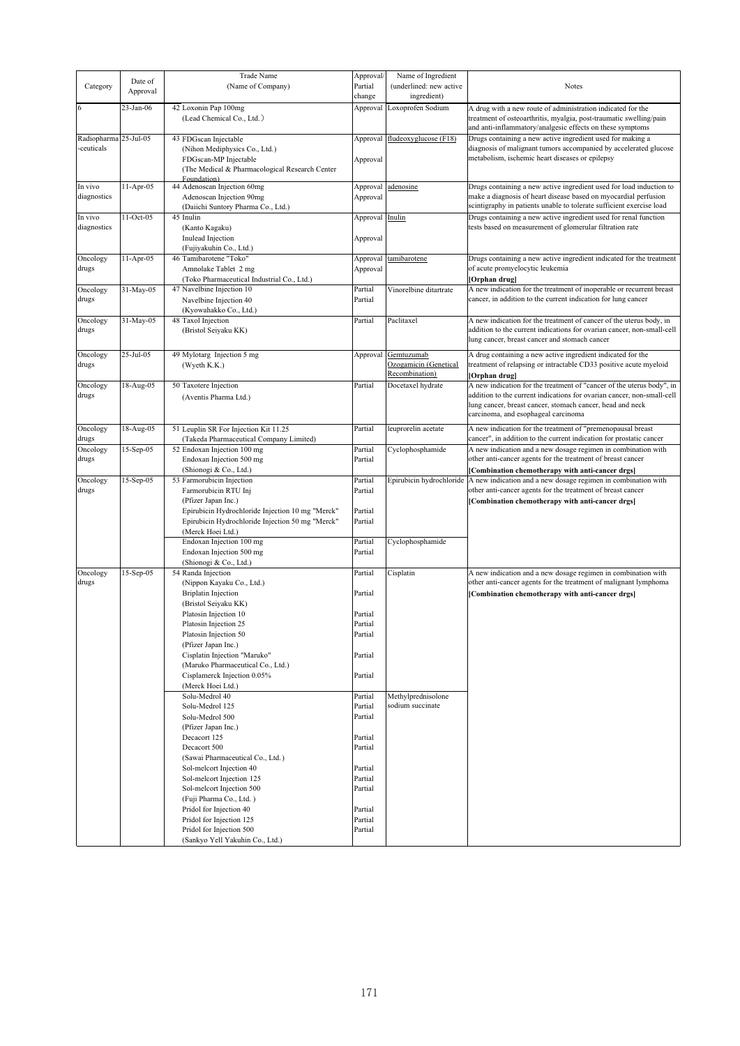|                       |                  | Trade Name                                       | Approval/       | Name of Ingredient       |                                                                        |
|-----------------------|------------------|--------------------------------------------------|-----------------|--------------------------|------------------------------------------------------------------------|
|                       | Date of          |                                                  | Partial         | (underlined: new active  |                                                                        |
| Category              | Approval         | (Name of Company)                                |                 |                          | <b>Notes</b>                                                           |
|                       |                  |                                                  | change          | ingredient)              |                                                                        |
|                       | 23-Jan-06        | 42 Loxonin Pap 100mg                             | Approval        | Loxoprofen Sodium        | A drug with a new route of administration indicated for the            |
|                       |                  | (Lead Chemical Co., Ltd.)                        |                 |                          | treatment of osteoarthritis, myalgia, post-traumatic swelling/pain     |
|                       |                  |                                                  |                 |                          | and anti-inflammatory/analgesic effects on these symptoms              |
| Radiopharma 25-Jul-05 |                  | 43 FDGscan Injectable                            | Approval        | fludeoxyglucose (F18)    | Drugs containing a new active ingredient used for making a             |
| -ceuticals            |                  | (Nihon Mediphysics Co., Ltd.)                    |                 |                          | diagnosis of malignant tumors accompanied by accelerated glucose       |
|                       |                  | FDGscan-MP Injectable                            | Approval        |                          | metabolism, ischemic heart diseases or epilepsy                        |
|                       |                  | (The Medical & Pharmacological Research Center   |                 |                          |                                                                        |
|                       |                  | Foundation)                                      |                 |                          |                                                                        |
| In vivo               | $11-Apr-05$      | 44 Adenoscan Injection 60mg                      | Approval        | adenosine                | Drugs containing a new active ingredient used for load induction to    |
| diagnostics           |                  | Adenoscan Injection 90mg                         | Approval        |                          | make a diagnosis of heart disease based on myocardial perfusion        |
|                       |                  | (Daiichi Suntory Pharma Co., Ltd.)               |                 |                          | scintigraphy in patients unable to tolerate sufficient exercise load   |
| In vivo               | 11-Oct-05        | 45 Inulin                                        | Approval Inulin |                          | Drugs containing a new active ingredient used for renal function       |
| diagnostics           |                  | (Kanto Kagaku)                                   |                 |                          | tests based on measurement of glomerular filtration rate               |
|                       |                  | Inulead Injection                                | Approval        |                          |                                                                        |
|                       |                  | (Fujiyakuhin Co., Ltd.)                          |                 |                          |                                                                        |
| Oncology              | $11-Apr-05$      | 46 Tamibarotene "Toko"                           | Approval        | tamibarotene             | Drugs containing a new active ingredient indicated for the treatment   |
| drugs                 |                  | Amnolake Tablet 2 mg                             | Approval        |                          | of acute promyelocytic leukemia                                        |
|                       |                  | (Toko Pharmaceutical Industrial Co., Ltd.)       |                 |                          | [Orphan drug]                                                          |
| Oncology              | 31-May-05        | 47 Navelbine Injection 10                        | Partial         | Vinorelbine ditartrate   | A new indication for the treatment of inoperable or recurrent breast   |
| drugs                 |                  | Navelbine Injection 40                           | Partial         |                          | cancer, in addition to the current indication for lung cancer          |
|                       |                  | (Kyowahakko Co., Ltd.)                           |                 |                          |                                                                        |
|                       |                  |                                                  |                 |                          |                                                                        |
| Oncology              | 31-May-05        | 48 Taxol Injection                               | Partial         | Paclitaxel               | A new indication for the treatment of cancer of the uterus body, in    |
| drugs                 |                  | (Bristol Seiyaku KK)                             |                 |                          | addition to the current indications for ovarian cancer, non-small-cell |
|                       |                  |                                                  |                 |                          | lung cancer, breast cancer and stomach cancer                          |
| Oncology              | $25 -$ Jul $-05$ | 49 Mylotarg Injection 5 mg                       | Approval        | Gemtuzumab               | A drug containing a new active ingredient indicated for the            |
| drugs                 |                  | (Wyeth K.K.)                                     |                 | Ozogamicin (Genetical    | treatment of relapsing or intractable CD33 positive acute myeloid      |
|                       |                  |                                                  |                 | Recombination)           | [Orphan drug]                                                          |
| Oncology              | 18-Aug-05        | 50 Taxotere Injection                            | Partial         | Docetaxel hydrate        | A new indication for the treatment of "cancer of the uterus body", in  |
| drugs                 |                  | (Aventis Pharma Ltd.)                            |                 |                          | addition to the current indications for ovarian cancer, non-small-cell |
|                       |                  |                                                  |                 |                          | lung cancer, breast cancer, stomach cancer, head and neck              |
|                       |                  |                                                  |                 |                          | carcinoma, and esophageal carcinoma                                    |
|                       |                  |                                                  |                 |                          |                                                                        |
| Oncology              | 18-Aug-05        | 51 Leuplin SR For Injection Kit 11.25            | Partial         | leuprorelin acetate      | A new indication for the treatment of "premenopausal breast            |
| drugs                 |                  | (Takeda Pharmaceutical Company Limited)          |                 |                          | cancer", in addition to the current indication for prostatic cancer    |
| Oncology              | 15-Sep-05        | 52 Endoxan Injection 100 mg                      | Partial         | Cyclophosphamide         | A new indication and a new dosage regimen in combination with          |
| drugs                 |                  | Endoxan Injection 500 mg                         | Partial         |                          | other anti-cancer agents for the treatment of breast cancer            |
|                       |                  | (Shionogi & Co., Ltd.)                           |                 |                          | [Combination chemotherapy with anti-cancer drgs]                       |
| Oncology              | 15-Sep-05        | 53 Farmorubicin Injection                        | Partial         | Epirubicin hydrochloride | A new indication and a new dosage regimen in combination with          |
| drugs                 |                  | Farmorubicin RTU Inj                             | Partial         |                          | other anti-cancer agents for the treatment of breast cancer            |
|                       |                  | (Pfizer Japan Inc.)                              |                 |                          | [Combination chemotherapy with anti-cancer drgs]                       |
|                       |                  | Epirubicin Hydrochloride Injection 10 mg "Merck" | Partial         |                          |                                                                        |
|                       |                  | Epirubicin Hydrochloride Injection 50 mg "Merck" | Partial         |                          |                                                                        |
|                       |                  | (Merck Hoei Ltd.)                                |                 |                          |                                                                        |
|                       |                  | Endoxan Injection 100 mg                         | Partial         | Cyclophosphamide         |                                                                        |
|                       |                  | Endoxan Injection 500 mg                         | Partial         |                          |                                                                        |
|                       |                  | (Shionogi & Co., Ltd.)                           |                 |                          |                                                                        |
| Oncology              | 15-Sep-05        | 54 Randa Injection                               | Partial         | Cisplatin                | A new indication and a new dosage regimen in combination with          |
| drugs                 |                  | (Nippon Kayaku Co., Ltd.)                        |                 |                          | other anti-cancer agents for the treatment of malignant lymphoma       |
|                       |                  | <b>Briplatin Injection</b>                       | Partial         |                          | [Combination chemotherapy with anti-cancer drgs]                       |
|                       |                  | (Bristol Seiyaku KK)                             |                 |                          |                                                                        |
|                       |                  | Platosin Injection 10                            | Partial         |                          |                                                                        |
|                       |                  | Platosin Injection 25                            | Partial         |                          |                                                                        |
|                       |                  | Platosin Injection 50                            | Partial         |                          |                                                                        |
|                       |                  |                                                  |                 |                          |                                                                        |
|                       |                  | (Pfizer Japan Inc.)                              |                 |                          |                                                                        |
|                       |                  | Cisplatin Injection "Maruko"                     | Partial         |                          |                                                                        |
|                       |                  | (Maruko Pharmaceutical Co., Ltd.)                |                 |                          |                                                                        |
|                       |                  | Cisplamerck Injection 0.05%                      | Partial         |                          |                                                                        |
|                       |                  | (Merck Hoei Ltd.)                                |                 |                          |                                                                        |
|                       |                  | Solu-Medrol 40                                   | Partial         | Methylprednisolone       |                                                                        |
|                       |                  | Solu-Medrol 125                                  | Partial         | sodium succinate         |                                                                        |
|                       |                  | Solu-Medrol 500                                  | Partial         |                          |                                                                        |
|                       |                  | (Pfizer Japan Inc.)                              |                 |                          |                                                                        |
|                       |                  | Decacort 125                                     | Partial         |                          |                                                                        |
|                       |                  | Decacort 500                                     | Partial         |                          |                                                                        |
|                       |                  | (Sawai Pharmaceutical Co., Ltd.)                 |                 |                          |                                                                        |
|                       |                  | Sol-melcort Injection 40                         | Partial         |                          |                                                                        |
|                       |                  | Sol-melcort Injection 125                        | Partial         |                          |                                                                        |
|                       |                  | Sol-melcort Injection 500                        | Partial         |                          |                                                                        |
|                       |                  |                                                  |                 |                          |                                                                        |
|                       |                  | (Fuji Pharma Co., Ltd.)                          |                 |                          |                                                                        |
|                       |                  | Pridol for Injection 40                          | Partial         |                          |                                                                        |
|                       |                  | Pridol for Injection 125                         | Partial         |                          |                                                                        |
|                       |                  | Pridol for Injection 500                         | Partial         |                          |                                                                        |
|                       |                  | (Sankyo Yell Yakuhin Co., Ltd.)                  |                 |                          |                                                                        |